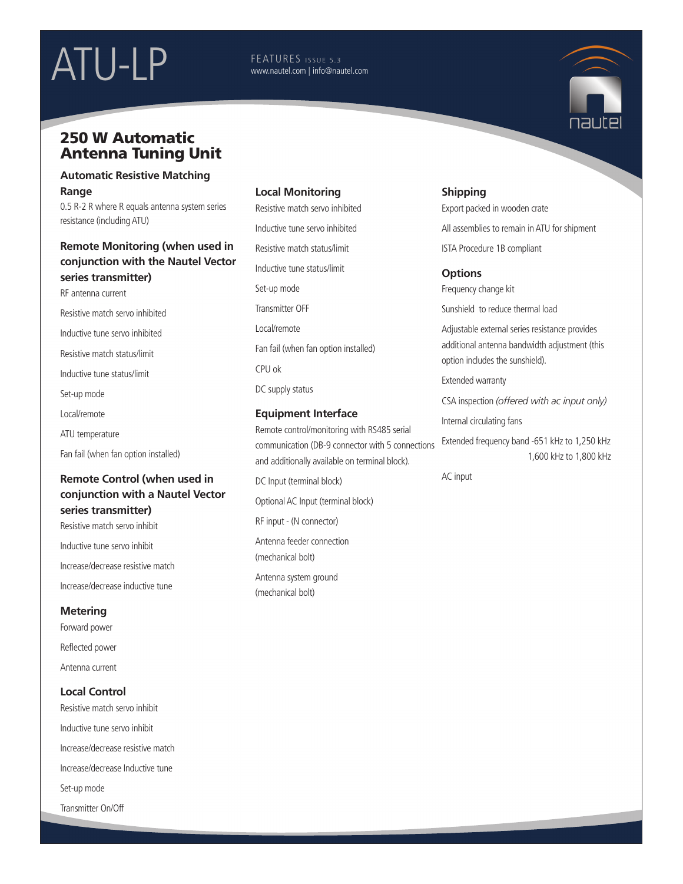# ATU-LP FEATURES ISSUE 5.3

www.nautel.com | info@nautel.com

# 250 W Automatic Antenna Tuning Unit

#### **Automatic Resistive Matching Range**

0.5 R-2 R where R equals antenna system series resistance (including ATU)

## **Remote Monitoring (when used in conjunction with the Nautel Vector series transmitter)**

RF antenna current Resistive match servo inhibited Inductive tune servo inhibited Resistive match status/limit Inductive tune status/limit Set-up mode Local/remote ATU temperature Fan fail (when fan option installed)

## **Remote Control (when used in conjunction with a Nautel Vector series transmitter)**

Resistive match servo inhibit Inductive tune servo inhibit Increase/decrease resistive match Increase/decrease inductive tune

# **Metering**

Forward power Reflected power Antenna current

## **Local Control**

Resistive match servo inhibit Inductive tune servo inhibit Increase/decrease resistive match Increase/decrease Inductive tune Set-up mode Transmitter On/Off

## **Local Monitoring**

Resistive match servo inhibited Inductive tune servo inhibited Resistive match status/limit Inductive tune status/limit Set-up mode Transmitter OFF Local/remote Fan fail (when fan option installed) CPU ok DC supply status

#### **Equipment Interface**

Remote control/monitoring with RS485 serial communication (DB-9 connector with 5 connections and additionally available on terminal block).

DC Input (terminal block)

Optional AC Input (terminal block)

RF input - (N connector)

Antenna feeder connection (mechanical bolt)

Antenna system ground (mechanical bolt)

# **Shipping**

Export packed in wooden crate

All assemblies to remain in ATU for shipment

ISTA Procedure 1B compliant

## **Options**

Frequency change kit

Sunshield to reduce thermal load

Adjustable external series resistance provides additional antenna bandwidth adjustment (this option includes the sunshield).

Extended warranty

CSA inspection *(offered with ac input only)*

Internal circulating fans

Extended frequency band -651 kHz to 1,250 kHz 1,600 kHz to 1,800 kHz

AC input